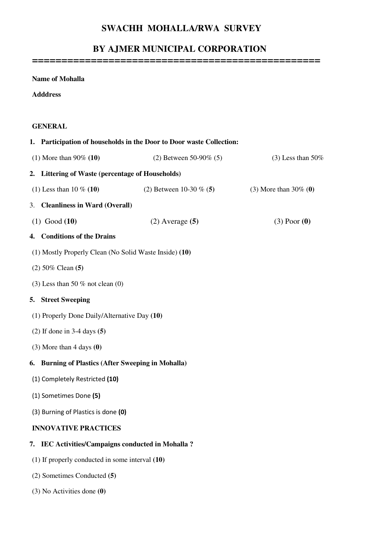## **SWACHH MOHALLA/RWA SURVEY**

## **BY AJMER MUNICIPAL CORPORATION**

**=================================================** 

**Name of Mohalla Adddress GENERAL 1. Participation of households in the Door to Door waste Collection:**  (1) More than 90% **(10)** (2) Between 50-90% (5) (3) Less than 50% **2. Littering of Waste (percentage of Households)**  (1) Less than 10 % **(10)** (2) Between 10-30 % (**5)** (3) More than 30% (**0)**  3. **Cleanliness in Ward (Overall)** (1) Good **(10)** (2) Average **(5)** (3) Poor **(0) 4. Conditions of the Drains**  (1) Mostly Properly Clean (No Solid Waste Inside) **(10)**  (2) 50% Clean **(5)**  (3) Less than 50  $%$  not clean (0) **5. Street Sweeping**  (1) Properly Done Daily/Alternative Day **(10)**  (2) If done in 3-4 days **(5)** (3) More than 4 days **(0) 6. Burning of Plastics (After Sweeping in Mohalla)**  (1) Completely Restricted (10) (1) Sometimes Done (5) (3) Burning of Plastics is done (0) **INNOVATIVE PRACTICES 7. IEC Activities/Campaigns conducted in Mohalla ?**  (1) If properly conducted in some interval **(10)**  (2) Sometimes Conducted **(5)** (3) No Activities done **(0)**